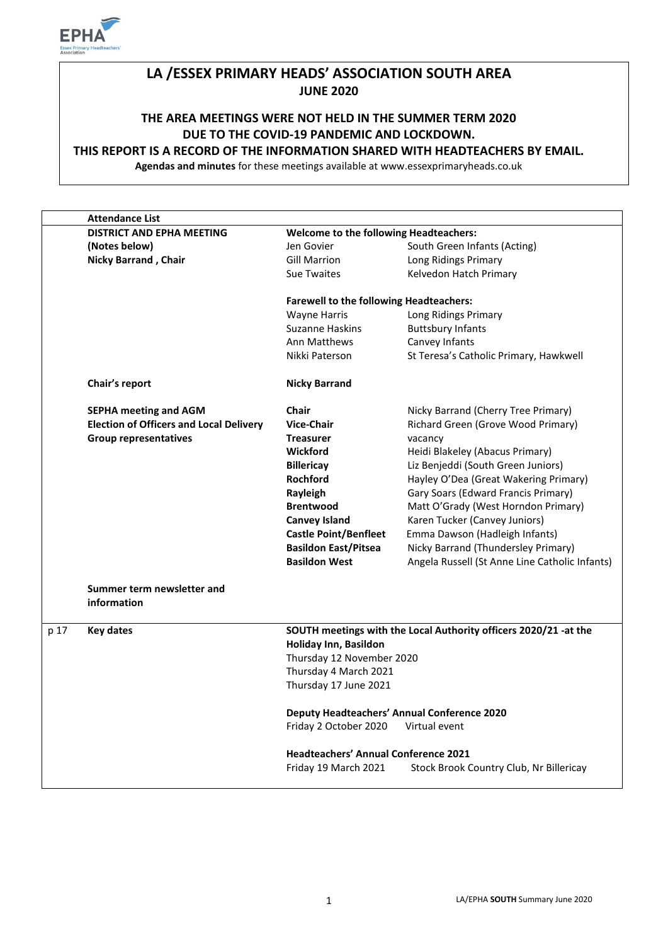

# **LA /ESSEX PRIMARY HEADS' ASSOCIATION SOUTH AREA JUNE 2020**

# **THE AREA MEETINGS WERE NOT HELD IN THE SUMMER TERM 2020 DUE TO THE COVID-19 PANDEMIC AND LOCKDOWN.**

### **THIS REPORT IS A RECORD OF THE INFORMATION SHARED WITH HEADTEACHERS BY EMAIL.**

**Agendas and minutes** for these meetings available at www.essexprimaryheads.co.uk

| <b>DISTRICT AND EPHA MEETING</b><br><b>Welcome to the following Headteachers:</b><br>South Green Infants (Acting)<br>(Notes below)<br>Jen Govier<br><b>Nicky Barrand, Chair</b><br><b>Gill Marrion</b><br>Long Ridings Primary<br><b>Sue Twaites</b><br>Kelvedon Hatch Primary<br><b>Farewell to the following Headteachers:</b><br><b>Wayne Harris</b><br>Long Ridings Primary<br><b>Suzanne Haskins</b><br><b>Buttsbury Infants</b><br>Canvey Infants<br>Ann Matthews<br>Nikki Paterson<br>Chair's report<br><b>Nicky Barrand</b><br><b>SEPHA meeting and AGM</b><br><b>Chair</b><br><b>Election of Officers and Local Delivery</b><br><b>Vice-Chair</b> |                                                                  |  |
|------------------------------------------------------------------------------------------------------------------------------------------------------------------------------------------------------------------------------------------------------------------------------------------------------------------------------------------------------------------------------------------------------------------------------------------------------------------------------------------------------------------------------------------------------------------------------------------------------------------------------------------------------------|------------------------------------------------------------------|--|
|                                                                                                                                                                                                                                                                                                                                                                                                                                                                                                                                                                                                                                                            |                                                                  |  |
|                                                                                                                                                                                                                                                                                                                                                                                                                                                                                                                                                                                                                                                            |                                                                  |  |
|                                                                                                                                                                                                                                                                                                                                                                                                                                                                                                                                                                                                                                                            |                                                                  |  |
|                                                                                                                                                                                                                                                                                                                                                                                                                                                                                                                                                                                                                                                            |                                                                  |  |
|                                                                                                                                                                                                                                                                                                                                                                                                                                                                                                                                                                                                                                                            |                                                                  |  |
|                                                                                                                                                                                                                                                                                                                                                                                                                                                                                                                                                                                                                                                            |                                                                  |  |
|                                                                                                                                                                                                                                                                                                                                                                                                                                                                                                                                                                                                                                                            |                                                                  |  |
|                                                                                                                                                                                                                                                                                                                                                                                                                                                                                                                                                                                                                                                            |                                                                  |  |
|                                                                                                                                                                                                                                                                                                                                                                                                                                                                                                                                                                                                                                                            | St Teresa's Catholic Primary, Hawkwell                           |  |
|                                                                                                                                                                                                                                                                                                                                                                                                                                                                                                                                                                                                                                                            |                                                                  |  |
|                                                                                                                                                                                                                                                                                                                                                                                                                                                                                                                                                                                                                                                            | Nicky Barrand (Cherry Tree Primary)                              |  |
|                                                                                                                                                                                                                                                                                                                                                                                                                                                                                                                                                                                                                                                            | Richard Green (Grove Wood Primary)                               |  |
| <b>Group representatives</b><br><b>Treasurer</b><br>vacancy                                                                                                                                                                                                                                                                                                                                                                                                                                                                                                                                                                                                |                                                                  |  |
| Heidi Blakeley (Abacus Primary)<br><b>Wickford</b>                                                                                                                                                                                                                                                                                                                                                                                                                                                                                                                                                                                                         |                                                                  |  |
| <b>Billericay</b>                                                                                                                                                                                                                                                                                                                                                                                                                                                                                                                                                                                                                                          | Liz Benjeddi (South Green Juniors)                               |  |
| Rochford                                                                                                                                                                                                                                                                                                                                                                                                                                                                                                                                                                                                                                                   | Hayley O'Dea (Great Wakering Primary)                            |  |
| Rayleigh                                                                                                                                                                                                                                                                                                                                                                                                                                                                                                                                                                                                                                                   | Gary Soars (Edward Francis Primary)                              |  |
| <b>Brentwood</b>                                                                                                                                                                                                                                                                                                                                                                                                                                                                                                                                                                                                                                           | Matt O'Grady (West Horndon Primary)                              |  |
| Karen Tucker (Canvey Juniors)<br><b>Canvey Island</b>                                                                                                                                                                                                                                                                                                                                                                                                                                                                                                                                                                                                      |                                                                  |  |
| <b>Castle Point/Benfleet</b><br>Emma Dawson (Hadleigh Infants)                                                                                                                                                                                                                                                                                                                                                                                                                                                                                                                                                                                             |                                                                  |  |
| <b>Basildon East/Pitsea</b>                                                                                                                                                                                                                                                                                                                                                                                                                                                                                                                                                                                                                                | Nicky Barrand (Thundersley Primary)                              |  |
| <b>Basildon West</b>                                                                                                                                                                                                                                                                                                                                                                                                                                                                                                                                                                                                                                       | Angela Russell (St Anne Line Catholic Infants)                   |  |
| Summer term newsletter and<br>information                                                                                                                                                                                                                                                                                                                                                                                                                                                                                                                                                                                                                  |                                                                  |  |
| p 17<br><b>Key dates</b><br>Holiday Inn, Basildon                                                                                                                                                                                                                                                                                                                                                                                                                                                                                                                                                                                                          | SOUTH meetings with the Local Authority officers 2020/21 -at the |  |
| Thursday 12 November 2020                                                                                                                                                                                                                                                                                                                                                                                                                                                                                                                                                                                                                                  |                                                                  |  |
| Thursday 4 March 2021                                                                                                                                                                                                                                                                                                                                                                                                                                                                                                                                                                                                                                      |                                                                  |  |
| Thursday 17 June 2021                                                                                                                                                                                                                                                                                                                                                                                                                                                                                                                                                                                                                                      |                                                                  |  |
| <b>Deputy Headteachers' Annual Conference 2020</b>                                                                                                                                                                                                                                                                                                                                                                                                                                                                                                                                                                                                         |                                                                  |  |
| Friday 2 October 2020<br>Virtual event                                                                                                                                                                                                                                                                                                                                                                                                                                                                                                                                                                                                                     |                                                                  |  |
| <b>Headteachers' Annual Conference 2021</b>                                                                                                                                                                                                                                                                                                                                                                                                                                                                                                                                                                                                                |                                                                  |  |
| Friday 19 March 2021                                                                                                                                                                                                                                                                                                                                                                                                                                                                                                                                                                                                                                       | Stock Brook Country Club, Nr Billericay                          |  |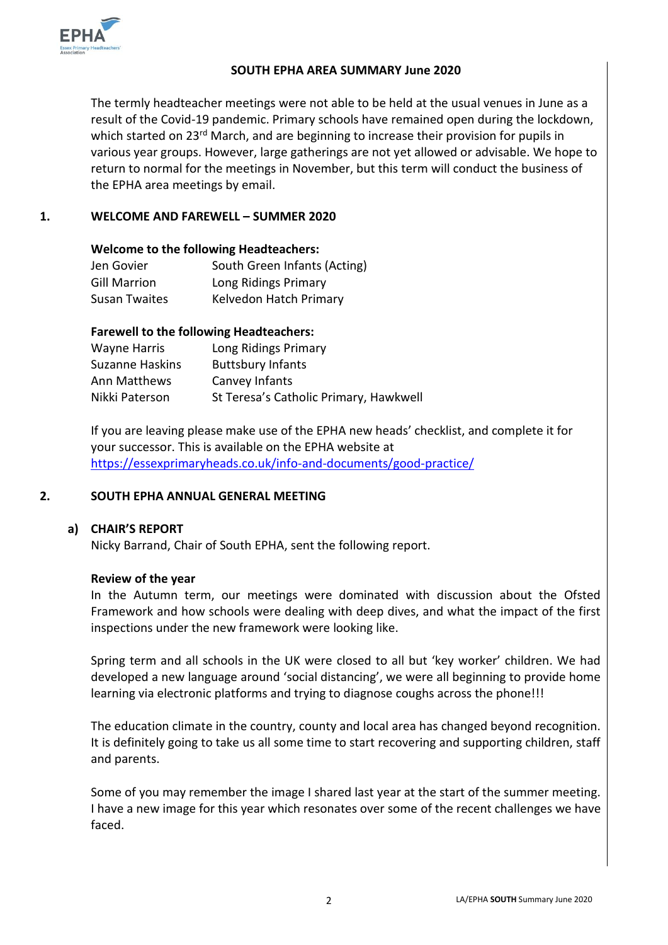

#### **SOUTH EPHA AREA SUMMARY June 2020**

The termly headteacher meetings were not able to be held at the usual venues in June as a result of the Covid-19 pandemic. Primary schools have remained open during the lockdown, which started on 23<sup>rd</sup> March, and are beginning to increase their provision for pupils in various year groups. However, large gatherings are not yet allowed or advisable. We hope to return to normal for the meetings in November, but this term will conduct the business of the EPHA area meetings by email.

# **1. WELCOME AND FAREWELL – SUMMER 2020**

#### **Welcome to the following Headteachers:**

| Jen Govier          | South Green Infants (Acting) |
|---------------------|------------------------------|
| <b>Gill Marrion</b> | Long Ridings Primary         |
| Susan Twaites       | Kelvedon Hatch Primary       |

# **Farewell to the following Headteachers:**

| Wayne Harris           | Long Ridings Primary                   |
|------------------------|----------------------------------------|
| <b>Suzanne Haskins</b> | <b>Buttsbury Infants</b>               |
| Ann Matthews           | Canvey Infants                         |
| Nikki Paterson         | St Teresa's Catholic Primary, Hawkwell |

If you are leaving please make use of the EPHA new heads' checklist, and complete it for your successor. This is available on the EPHA website at <https://essexprimaryheads.co.uk/info-and-documents/good-practice/>

#### **2. SOUTH EPHA ANNUAL GENERAL MEETING**

# **a) CHAIR'S REPORT**

Nicky Barrand, Chair of South EPHA, sent the following report.

#### **Review of the year**

In the Autumn term, our meetings were dominated with discussion about the Ofsted Framework and how schools were dealing with deep dives, and what the impact of the first inspections under the new framework were looking like.

Spring term and all schools in the UK were closed to all but 'key worker' children. We had developed a new language around 'social distancing', we were all beginning to provide home learning via electronic platforms and trying to diagnose coughs across the phone!!!

The education climate in the country, county and local area has changed beyond recognition. It is definitely going to take us all some time to start recovering and supporting children, staff and parents.

Some of you may remember the image I shared last year at the start of the summer meeting. I have a new image for this year which resonates over some of the recent challenges we have faced.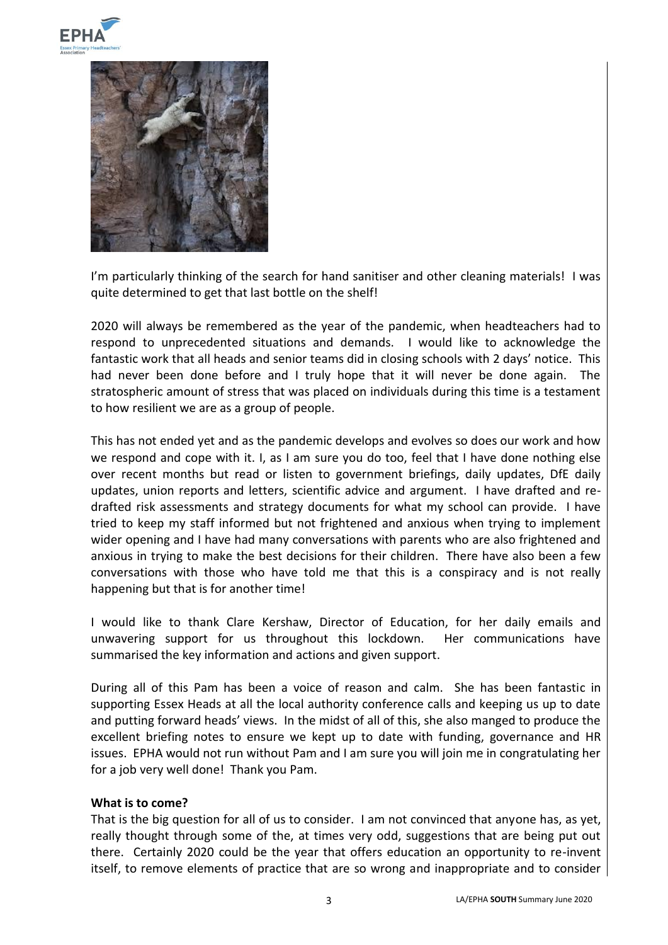



I'm particularly thinking of the search for hand sanitiser and other cleaning materials! I was quite determined to get that last bottle on the shelf!

2020 will always be remembered as the year of the pandemic, when headteachers had to respond to unprecedented situations and demands. I would like to acknowledge the fantastic work that all heads and senior teams did in closing schools with 2 days' notice. This had never been done before and I truly hope that it will never be done again. The stratospheric amount of stress that was placed on individuals during this time is a testament to how resilient we are as a group of people.

This has not ended yet and as the pandemic develops and evolves so does our work and how we respond and cope with it. I, as I am sure you do too, feel that I have done nothing else over recent months but read or listen to government briefings, daily updates, DfE daily updates, union reports and letters, scientific advice and argument. I have drafted and redrafted risk assessments and strategy documents for what my school can provide. I have tried to keep my staff informed but not frightened and anxious when trying to implement wider opening and I have had many conversations with parents who are also frightened and anxious in trying to make the best decisions for their children. There have also been a few conversations with those who have told me that this is a conspiracy and is not really happening but that is for another time!

I would like to thank Clare Kershaw, Director of Education, for her daily emails and unwavering support for us throughout this lockdown. Her communications have summarised the key information and actions and given support.

During all of this Pam has been a voice of reason and calm. She has been fantastic in supporting Essex Heads at all the local authority conference calls and keeping us up to date and putting forward heads' views. In the midst of all of this, she also manged to produce the excellent briefing notes to ensure we kept up to date with funding, governance and HR issues. EPHA would not run without Pam and I am sure you will join me in congratulating her for a job very well done! Thank you Pam.

#### **What is to come?**

That is the big question for all of us to consider. I am not convinced that anyone has, as yet, really thought through some of the, at times very odd, suggestions that are being put out there. Certainly 2020 could be the year that offers education an opportunity to re-invent itself, to remove elements of practice that are so wrong and inappropriate and to consider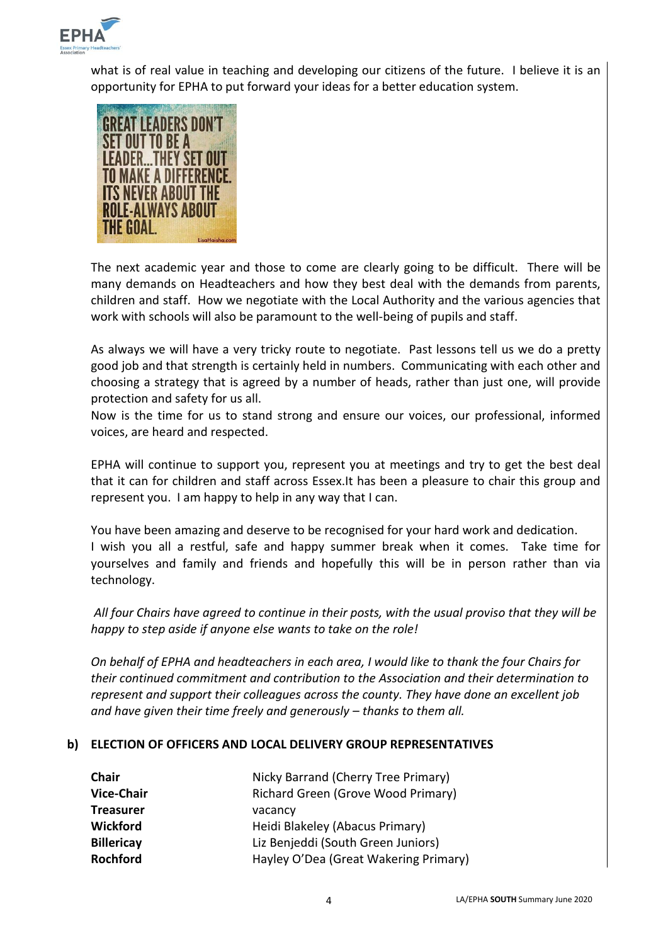

what is of real value in teaching and developing our citizens of the future. I believe it is an opportunity for EPHA to put forward your ideas for a better education system.



The next academic year and those to come are clearly going to be difficult. There will be many demands on Headteachers and how they best deal with the demands from parents, children and staff. How we negotiate with the Local Authority and the various agencies that work with schools will also be paramount to the well-being of pupils and staff.

As always we will have a very tricky route to negotiate. Past lessons tell us we do a pretty good job and that strength is certainly held in numbers. Communicating with each other and choosing a strategy that is agreed by a number of heads, rather than just one, will provide protection and safety for us all.

Now is the time for us to stand strong and ensure our voices, our professional, informed voices, are heard and respected.

EPHA will continue to support you, represent you at meetings and try to get the best deal that it can for children and staff across Essex.It has been a pleasure to chair this group and represent you. I am happy to help in any way that I can.

You have been amazing and deserve to be recognised for your hard work and dedication. I wish you all a restful, safe and happy summer break when it comes. Take time for yourselves and family and friends and hopefully this will be in person rather than via technology.

*All four Chairs have agreed to continue in their posts, with the usual proviso that they will be happy to step aside if anyone else wants to take on the role!* 

*On behalf of EPHA and headteachers in each area, I would like to thank the four Chairs for their continued commitment and contribution to the Association and their determination to represent and support their colleagues across the county. They have done an excellent job*  and have given their time freely and generously – thanks to them all.

#### **b) ELECTION OF OFFICERS AND LOCAL DELIVERY GROUP REPRESENTATIVES**

| Chair             | Nicky Barrand (Cherry Tree Primary)   |
|-------------------|---------------------------------------|
| <b>Vice-Chair</b> | Richard Green (Grove Wood Primary)    |
| <b>Treasurer</b>  | vacancy                               |
| <b>Wickford</b>   | Heidi Blakeley (Abacus Primary)       |
| <b>Billericay</b> | Liz Benjeddi (South Green Juniors)    |
| <b>Rochford</b>   | Hayley O'Dea (Great Wakering Primary) |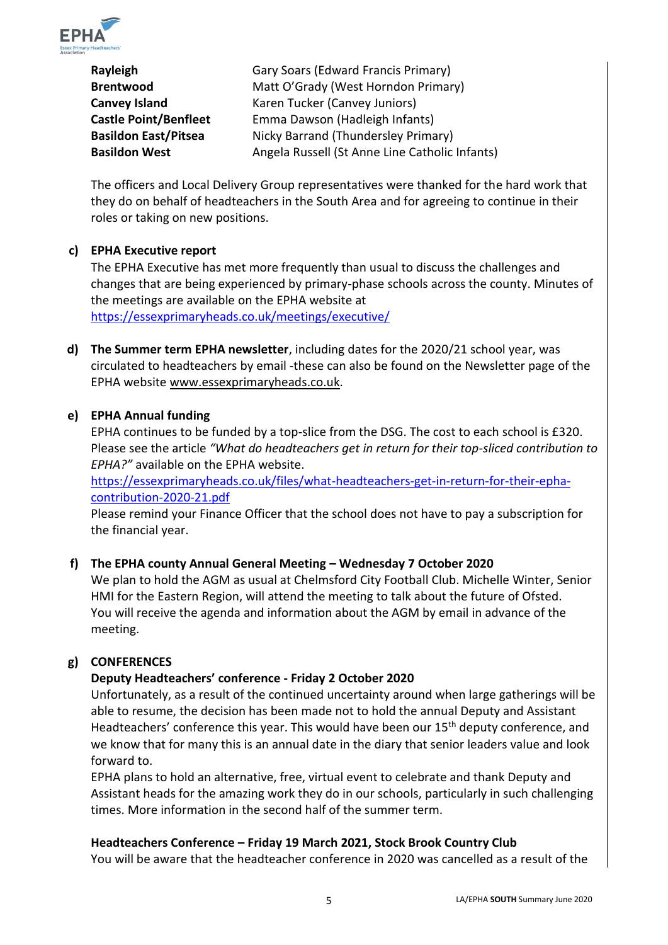

**Rayleigh** Gary Soars (Edward Francis Primary) **Brentwood** Matt O'Grady (West Horndon Primary) **Canvey Island** Karen Tucker (Canvey Juniors) **Castle Point/Benfleet** Emma Dawson (Hadleigh Infants) **Basildon East/Pitsea** Nicky Barrand (Thundersley Primary) **Basildon West** Angela Russell (St Anne Line Catholic Infants)

The officers and Local Delivery Group representatives were thanked for the hard work that they do on behalf of headteachers in the South Area and for agreeing to continue in their roles or taking on new positions.

# **c) EPHA Executive report**

The EPHA Executive has met more frequently than usual to discuss the challenges and changes that are being experienced by primary-phase schools across the county. Minutes of the meetings are available on the EPHA website at <https://essexprimaryheads.co.uk/meetings/executive/>

**d) The Summer term EPHA newsletter**, including dates for the 2020/21 school year, was circulated to headteachers by email -these can also be found on the Newsletter page of the EPHA website [www.essexprimaryheads.co.uk.](http://www.essexprimaryheads.co.uk/)

#### **e) EPHA Annual funding**

EPHA continues to be funded by a top-slice from the DSG. The cost to each school is £320. Please see the article *"What do headteachers get in return for their top-sliced contribution to EPHA?"* available on the EPHA website.

[https://essexprimaryheads.co.uk/files/what-headteachers-get-in-return-for-their-epha](https://essexprimaryheads.co.uk/files/what-headteachers-get-in-return-for-their-epha-contribution-2020-21.pdf)[contribution-2020-21.pdf](https://essexprimaryheads.co.uk/files/what-headteachers-get-in-return-for-their-epha-contribution-2020-21.pdf)

Please remind your Finance Officer that the school does not have to pay a subscription for the financial year.

# **f) The EPHA county Annual General Meeting – Wednesday 7 October 2020**

We plan to hold the AGM as usual at Chelmsford City Football Club. Michelle Winter, Senior HMI for the Eastern Region, will attend the meeting to talk about the future of Ofsted. You will receive the agenda and information about the AGM by email in advance of the meeting.

### **g) CONFERENCES**

# **Deputy Headteachers' conference - Friday 2 October 2020**

Unfortunately, as a result of the continued uncertainty around when large gatherings will be able to resume, the decision has been made not to hold the annual Deputy and Assistant Headteachers' conference this year. This would have been our 15<sup>th</sup> deputy conference, and we know that for many this is an annual date in the diary that senior leaders value and look forward to.

EPHA plans to hold an alternative, free, virtual event to celebrate and thank Deputy and Assistant heads for the amazing work they do in our schools, particularly in such challenging times. More information in the second half of the summer term.

#### **Headteachers Conference – Friday 19 March 2021, Stock Brook Country Club**

You will be aware that the headteacher conference in 2020 was cancelled as a result of the